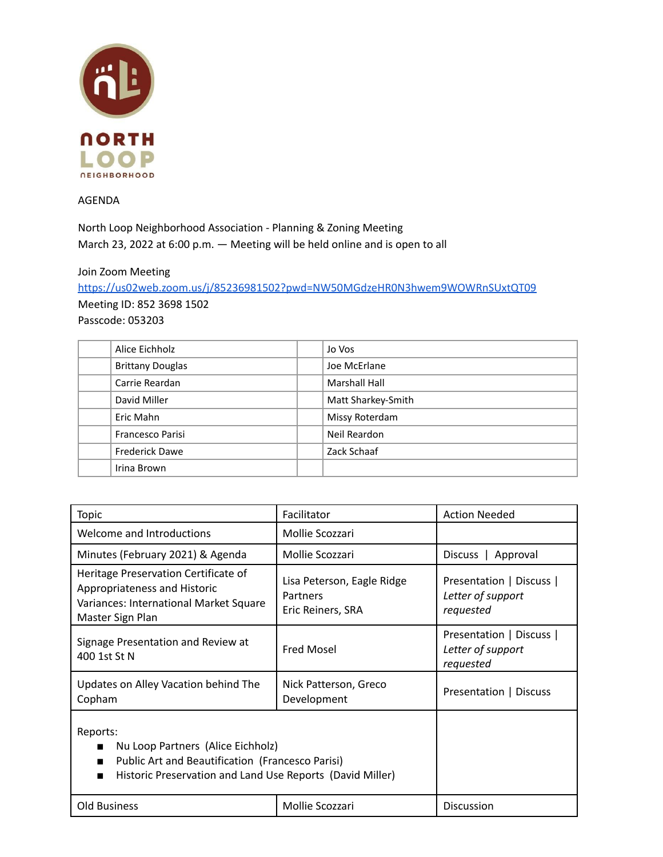

AGENDA

North Loop Neighborhood Association - Planning & Zoning Meeting March 23, 2022 at 6:00 p.m. — Meeting will be held online and is open to all

Join Zoom Meeting

<https://us02web.zoom.us/j/85236981502?pwd=NW50MGdzeHR0N3hwem9WOWRnSUxtQT09> Meeting ID: 852 3698 1502

Passcode: 053203

| Alice Eichholz          | Jo Vos               |
|-------------------------|----------------------|
| <b>Brittany Douglas</b> | Joe McErlane         |
| Carrie Reardan          | <b>Marshall Hall</b> |
| David Miller            | Matt Sharkey-Smith   |
| Eric Mahn               | Missy Roterdam       |
| <b>Francesco Parisi</b> | Neil Reardon         |
| <b>Frederick Dawe</b>   | Zack Schaaf          |
| Irina Brown             |                      |

| <b>Topic</b>                                                                                                                                                   | Facilitator                                                 | <b>Action Needed</b>                                       |
|----------------------------------------------------------------------------------------------------------------------------------------------------------------|-------------------------------------------------------------|------------------------------------------------------------|
| Welcome and Introductions                                                                                                                                      | Mollie Scozzari                                             |                                                            |
| Minutes (February 2021) & Agenda                                                                                                                               | Mollie Scozzari                                             | Approval<br>Discuss                                        |
| Heritage Preservation Certificate of<br>Appropriateness and Historic<br>Variances: International Market Square<br>Master Sign Plan                             | Lisa Peterson, Eagle Ridge<br>Partners<br>Eric Reiners, SRA | Presentation   Discuss  <br>Letter of support<br>requested |
| Signage Presentation and Review at<br>400 1st St N                                                                                                             | <b>Fred Mosel</b>                                           | Presentation   Discuss  <br>Letter of support<br>requested |
| Updates on Alley Vacation behind The<br>Copham                                                                                                                 | Nick Patterson, Greco<br>Development                        | Presentation   Discuss                                     |
| Reports:<br>Nu Loop Partners (Alice Eichholz)<br>Public Art and Beautification (Francesco Parisi)<br>Historic Preservation and Land Use Reports (David Miller) |                                                             |                                                            |
| <b>Old Business</b>                                                                                                                                            | Mollie Scozzari                                             | <b>Discussion</b>                                          |